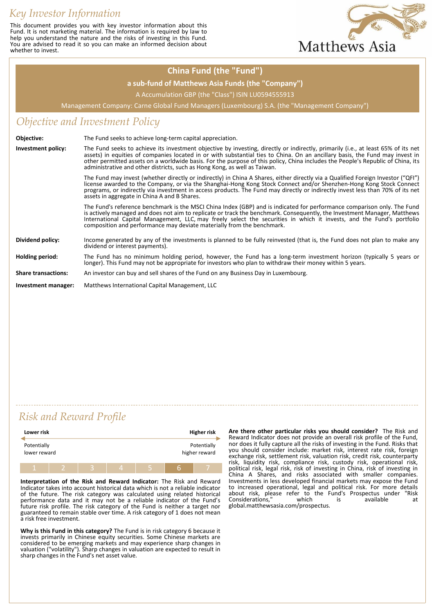# *Key Investor Information*

This document provides you with key investor information about this Fund. It is not marketing material. The information is required by law to help you understand the nature and the risks of investing in this Fund. You are advised to read it so you can make an informed decision about whether to invest.



#### **China Fund (the "Fund")**

#### **a sub-fund of Matthews Asia Funds (the "Company")**

A Accumulation GBP (the "Class") ISIN LU0594555913

Management Company: Carne Global Fund Managers (Luxembourg) S.A. (the "Management Company")

### *Objective and Investment Policy*

| Objective:                 | The Fund seeks to achieve long-term capital appreciation.                                                                                                                                                                                                                                                                                                                                                                                                                         |  |  |
|----------------------------|-----------------------------------------------------------------------------------------------------------------------------------------------------------------------------------------------------------------------------------------------------------------------------------------------------------------------------------------------------------------------------------------------------------------------------------------------------------------------------------|--|--|
| Investment policy:         | The Fund seeks to achieve its investment objective by investing, directly or indirectly, primarily (i.e., at least 65% of its net<br>assets) in equities of companies located in or with substantial ties to China. On an ancillary basis, the Fund may invest in<br>other permitted assets on a worldwide basis. For the purpose of this policy, China includes the People's Republic of China, its<br>administrative and other districts, such as Hong Kong, as well as Taiwan. |  |  |
|                            | The Fund may invest (whether directly or indirectly) in China A Shares, either directly via a Qualified Foreign Investor ("QFI")<br>license awarded to the Company, or via the Shanghai-Hong Kong Stock Connect and/or Shenzhen-Hong Kong Stock Connect<br>programs, or indirectly via investment in access products. The Fund may directly or indirectly invest less than 70% of its net<br>assets in aggregate in China A and B Shares.                                         |  |  |
|                            | The Fund's reference benchmark is the MSCI China Index (GBP) and is indicated for performance comparison only. The Fund<br>is actively managed and does not aim to replicate or track the benchmark. Consequently, the Investment Manager, Matthews<br>International Capital Management, LLC, may freely select the securities in which it invests, and the Fund's portfolio<br>composition and performance may deviate materially from the benchmark.                            |  |  |
| Dividend policy:           | Income generated by any of the investments is planned to be fully reinvested (that is, the Fund does not plan to make any<br>dividend or interest payments).                                                                                                                                                                                                                                                                                                                      |  |  |
| Holding period:            | The Fund has no minimum holding period, however, the Fund has a long-term investment horizon (typically 5 years or<br>longer). This Fund may not be appropriate for investors who plan to withdraw their money within 5 years.                                                                                                                                                                                                                                                    |  |  |
| <b>Share transactions:</b> | An investor can buy and sell shares of the Fund on any Business Day in Luxembourg.                                                                                                                                                                                                                                                                                                                                                                                                |  |  |
| Investment manager:        | Matthews International Capital Management, LLC                                                                                                                                                                                                                                                                                                                                                                                                                                    |  |  |

## *Risk and Reward Profile*

| Lower risk                  |  |  |  |  | Higher risk |                              |
|-----------------------------|--|--|--|--|-------------|------------------------------|
| Potentially<br>lower reward |  |  |  |  |             | Potentially<br>higher reward |
|                             |  |  |  |  | F           |                              |

**Interpretation of the Risk and Reward Indicator:** The Risk and Reward Indicator takes into account historical data which is not a reliable indicator of the future. The risk category was calculated using related historical performance data and it may not be a reliable indicator of the Fund's future risk profile. The risk category of the Fund is neither a target nor guaranteed to remain stable over time. A risk category of 1 does not mean a risk free investment.

**Why is this Fund in this category?** The Fund is in risk category 6 because it invests primarily in Chinese equity securities. Some Chinese markets are considered to be emerging markets and may experience sharp changes in valuation ("volatility"). Sharp changes in valuation are expected to result in sharp changes in the Fund's net asset value.

**Are there other particular risks you should consider?** The Risk and Reward Indicator does not provide an overall risk profile of the Fund, nor does it fully capture all the risks of investing in the Fund. Risks that you should consider include: market risk, interest rate risk, foreign exchange risk, settlement risk, valuation risk, credit risk, counterparty risk, liquidity risk, compliance risk, custody risk, operational risk, political risk, legal risk, risk of investing in China, risk of investing in China A Shares, and risks associated with smaller companies. Investments in less developed financial markets may expose the Fund to increased operational, legal and political risk. For more details about risk, please refer to the Fund's Prospectus under "Risk Considerations," which is available at global.matthewsasia.com/prospectus.